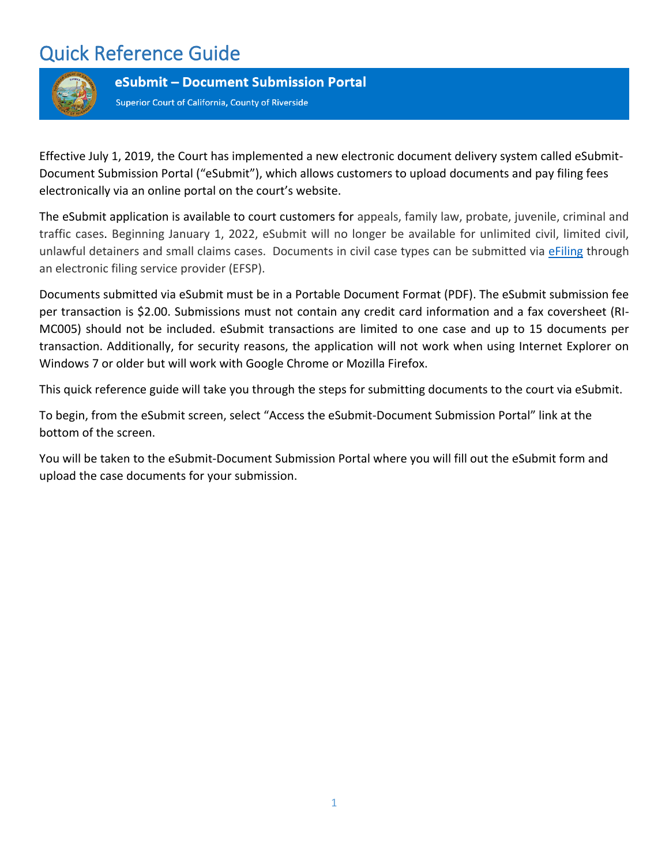

eSubmit - Document Submission Portal

Superior Court of California, County of Riverside

Effective July 1, 2019, the Court has implemented a new electronic document delivery system called eSubmit-Document Submission Portal ("eSubmit"), which allows customers to upload documents and pay filing fees electronically via an online portal on the court's website.

The eSubmit application is available to court customers for appeals, family law, probate, juvenile, criminal and traffic cases. Beginning January 1, 2022, eSubmit will no longer be available for unlimited civil, limited civil, unlawful detainers and small claims cases. Documents in civil case types can be submitted via [eFiling](https://riverside.courts.ca.gov/FormsFiling/EFiling/civil-efiling.php) through an electronic filing service provider (EFSP).

Documents submitted via eSubmit must be in a Portable Document Format (PDF). The eSubmit submission fee per transaction is \$2.00. Submissions must not contain any credit card information and a fax coversheet (RI-MC005) should not be included. eSubmit transactions are limited to one case and up to 15 documents per transaction. Additionally, for security reasons, the application will not work when using Internet Explorer on Windows 7 or older but will work with Google Chrome or Mozilla Firefox.

This quick reference guide will take you through the steps for submitting documents to the court via eSubmit.

To begin, from the eSubmit screen, select "Access the eSubmit-Document Submission Portal" link at the bottom of the screen.

You will be taken to the eSubmit-Document Submission Portal where you will fill out the eSubmit form and upload the case documents for your submission.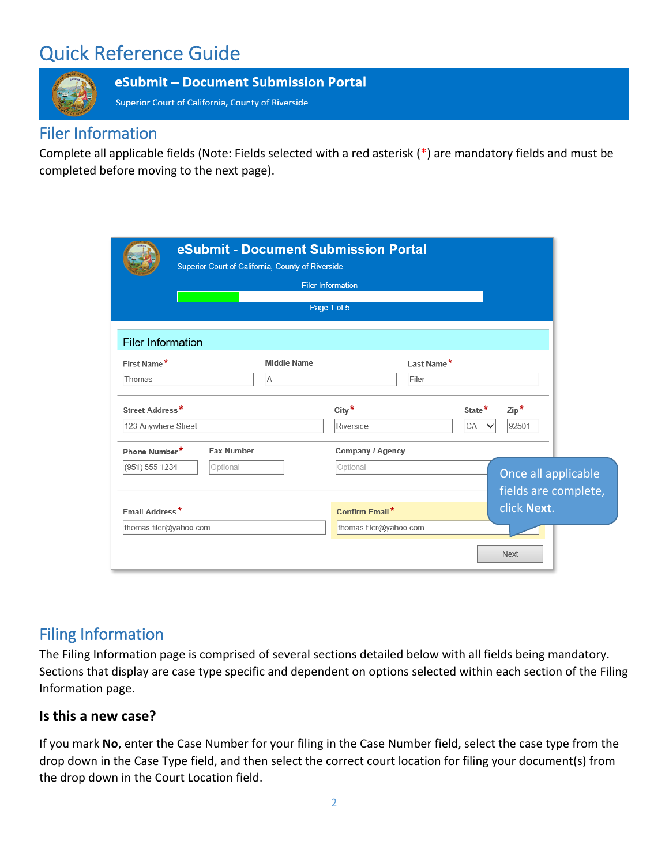

#### eSubmit - Document Submission Portal

Superior Court of California, County of Riverside

### Filer Information

Complete all applicable fields (Note: Fields selected with a red asterisk (\*) are mandatory fields and must be completed before moving to the next page).

|                          | eSubmit - Document Submission Portal<br>Superior Court of California, County of Riverside |                    |                          |            |                    |                        |  |
|--------------------------|-------------------------------------------------------------------------------------------|--------------------|--------------------------|------------|--------------------|------------------------|--|
|                          |                                                                                           |                    | <b>Filer Information</b> |            |                    |                        |  |
|                          |                                                                                           |                    | Page 1 of 5              |            |                    |                        |  |
| <b>Filer Information</b> |                                                                                           |                    |                          |            |                    |                        |  |
| First Name*              |                                                                                           | <b>Middle Name</b> |                          | Last Name* |                    |                        |  |
| Thomas                   |                                                                                           | A                  |                          | Filer      |                    |                        |  |
| Street Address*          |                                                                                           |                    | City $*$                 |            | State <sup>*</sup> | $\mathsf{Zip}^{\star}$ |  |
| 123 Anywhere Street      |                                                                                           |                    | Riverside                |            | CA                 | 92501                  |  |
| Phone Number*            | <b>Fax Number</b>                                                                         |                    | Company / Agency         |            |                    |                        |  |
| (951) 555-1234           | Optional                                                                                  |                    | Optional                 |            |                    | Once all applicable    |  |
|                          |                                                                                           |                    |                          |            |                    | fields are complete,   |  |
| Email Address*           |                                                                                           |                    | Confirm Email*           |            |                    | click Next.            |  |
| thomas.filer@yahoo.com   |                                                                                           |                    | thomas.filer@yahoo.com   |            |                    |                        |  |
|                          |                                                                                           |                    |                          |            |                    | <b>Next</b>            |  |

## Filing Information

The Filing Information page is comprised of several sections detailed below with all fields being mandatory. Sections that display are case type specific and dependent on options selected within each section of the Filing Information page.

### **Is this a new case?**

If you mark **No**, enter the Case Number for your filing in the Case Number field, select the case type from the drop down in the Case Type field, and then select the correct court location for filing your document(s) from the drop down in the Court Location field.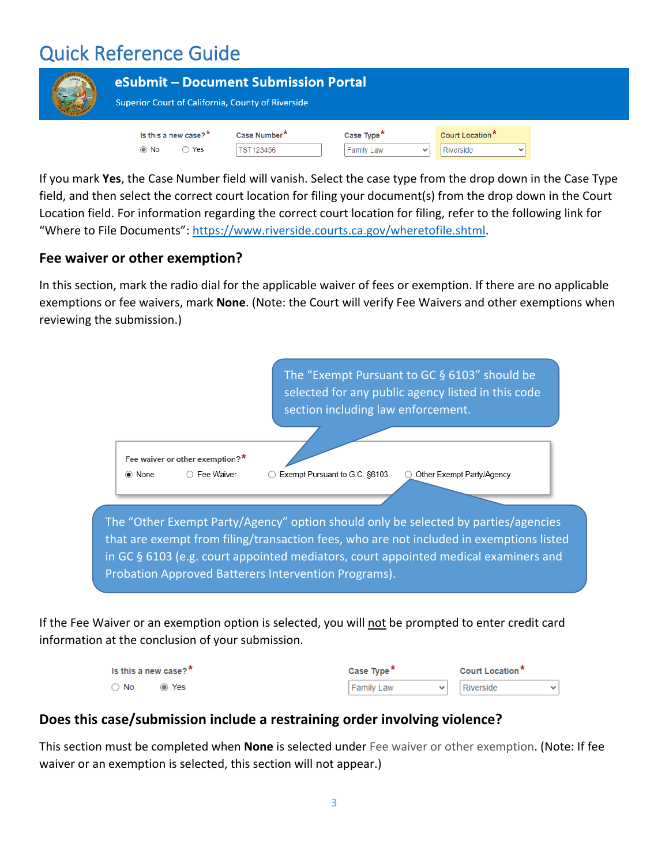| <b>EUREKA</b> | eSubmit - Document Submission Portal<br><b>Superior Court of California, County of Riverside</b> |                                       |                                             |              |                              |  |
|---------------|--------------------------------------------------------------------------------------------------|---------------------------------------|---------------------------------------------|--------------|------------------------------|--|
|               | Is this a new case? $*$<br>Yes<br>$\odot$ No                                                     | Case Number <sup>*</sup><br>TST123456 | Case Type <sup>*</sup><br><b>Family Law</b> | $\checkmark$ | Court Location*<br>Riverside |  |

If you mark **Yes**, the Case Number field will vanish. Select the case type from the drop down in the Case Type field, and then select the correct court location for filing your document(s) from the drop down in the Court Location field. For information regarding the correct court location for filing, refer to the following link for "Where to File Documents": [https://www.riverside.courts.ca.gov/wheretofile.shtml.](https://www.riverside.courts.ca.gov/wheretofile.shtml)

### **Fee waiver or other exemption?**

In this section, mark the radio dial for the applicable waiver of fees or exemption. If there are no applicable exemptions or fee waivers, mark **None**. (Note: the Court will verify Fee Waivers and other exemptions when reviewing the submission.)



If the Fee Waiver or an exemption option is selected, you will not be prompted to enter credit card information at the conclusion of your submission.

| Is this a new case? $*$ | Case Type <sup>*</sup> | Court Location <sup>*</sup> |  |  |
|-------------------------|------------------------|-----------------------------|--|--|
| $\bigcirc$ No<br>⊙ Yes  | <b>Family Law</b>      | Riverside                   |  |  |

### **Does this case/submission include a restraining order involving violence?**

This section must be completed when **None** is selected under Fee waiver or other exemption. (Note: If fee waiver or an exemption is selected, this section will not appear.)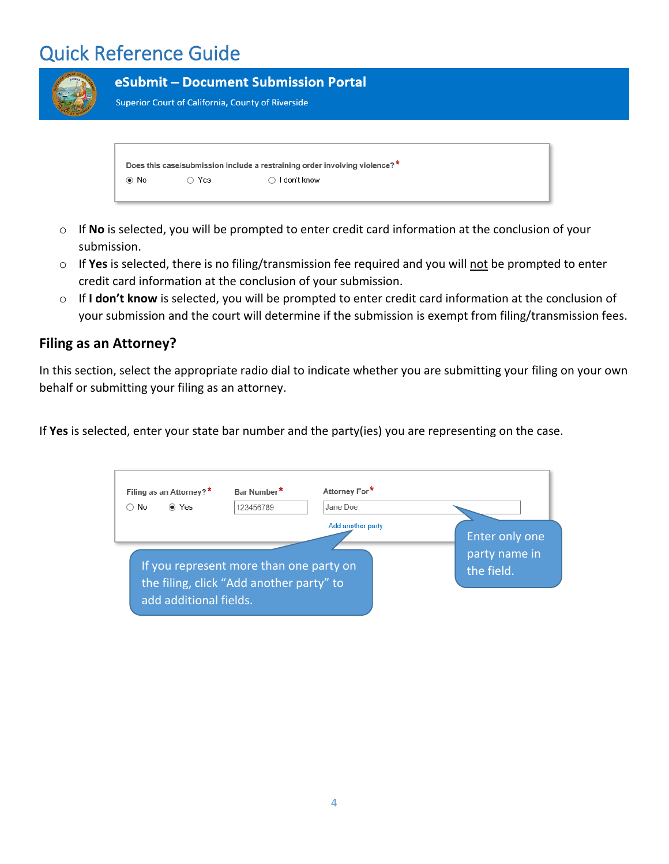|            |       | eSubmit - Document Submission Portal<br><b>Superior Court of California, County of Riverside</b> |  |
|------------|-------|--------------------------------------------------------------------------------------------------|--|
| $\odot$ No | ◯ Yes | Does this case/submission include a restraining order involving violence?*<br>I don't know       |  |

- o If **No** is selected, you will be prompted to enter credit card information at the conclusion of your submission.
- o If **Yes** is selected, there is no filing/transmission fee required and you will not be prompted to enter credit card information at the conclusion of your submission.
- o If **I don't know** is selected, you will be prompted to enter credit card information at the conclusion of your submission and the court will determine if the submission is exempt from filing/transmission fees.

### **Filing as an Attorney?**

In this section, select the appropriate radio dial to indicate whether you are submitting your filing on your own behalf or submitting your filing as an attorney.

If **Yes** is selected, enter your state bar number and the party(ies) you are representing on the case.

| Filing as an Attorney?*                                                             | Bar Number* | Attorney For*     |                                               |
|-------------------------------------------------------------------------------------|-------------|-------------------|-----------------------------------------------|
| ◉ Yes<br>No.                                                                        | 123456789   | Jane Doe          |                                               |
| If you represent more than one party on<br>the filing, click "Add another party" to |             | Add another party | Enter only one<br>party name in<br>the field. |
| add additional fields.                                                              |             |                   |                                               |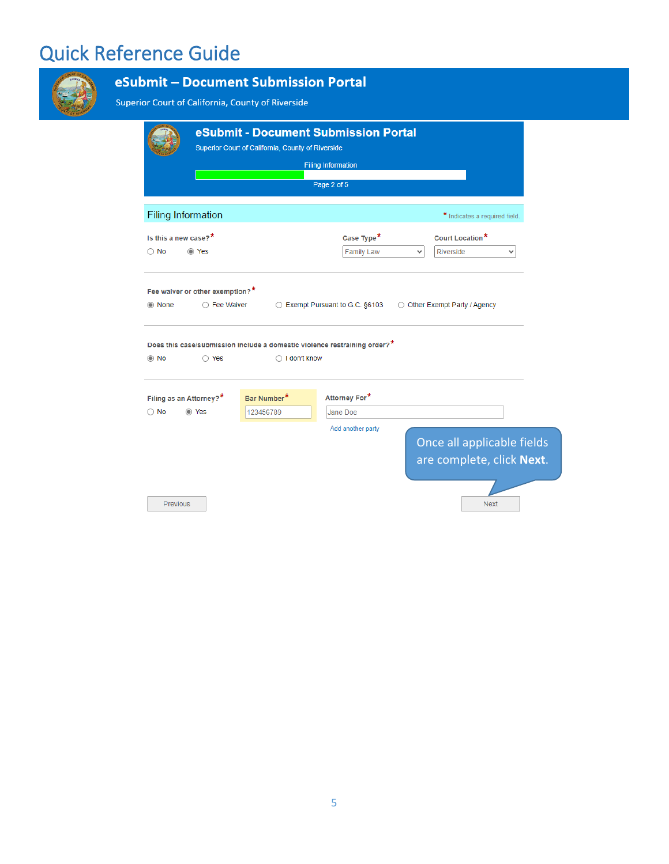|                                                   | Superior Court of California, County of Riverside                                                    | eSubmit - Document Submission Portal<br><b>Filing Information</b><br>Page 2 of 5 |                                                              |
|---------------------------------------------------|------------------------------------------------------------------------------------------------------|----------------------------------------------------------------------------------|--------------------------------------------------------------|
| <b>Filing Information</b>                         |                                                                                                      |                                                                                  | * Indicates a required field.                                |
| Is this a new case? $*$<br>$\bigcirc$ No<br>⊙ Yes |                                                                                                      | Case Type <sup>*</sup><br><b>Family Law</b>                                      | Court Location*<br>Riverside<br>$\checkmark$<br>$\checkmark$ |
| Fee waiver or other exemption?*<br>◯ None         | ◯ Fee Waiver                                                                                         | ◯ Exempt Pursuant to G.C. §6103                                                  | ◯ Other Exempt Party / Agency                                |
| $\odot$ No<br>$\bigcirc$ Yes                      | Does this case/submission include a domestic violence restraining order?*<br>$\bigcirc$ I don't know |                                                                                  |                                                              |
| Filing as an Attorney?*                           | Bar Number*                                                                                          | Attorney For*                                                                    |                                                              |
| ⊙ Yes<br>$\bigcirc$ No                            | 123456789                                                                                            | Jane Doe<br>Add another party                                                    | Once all applicable fields<br>are complete, click Next.      |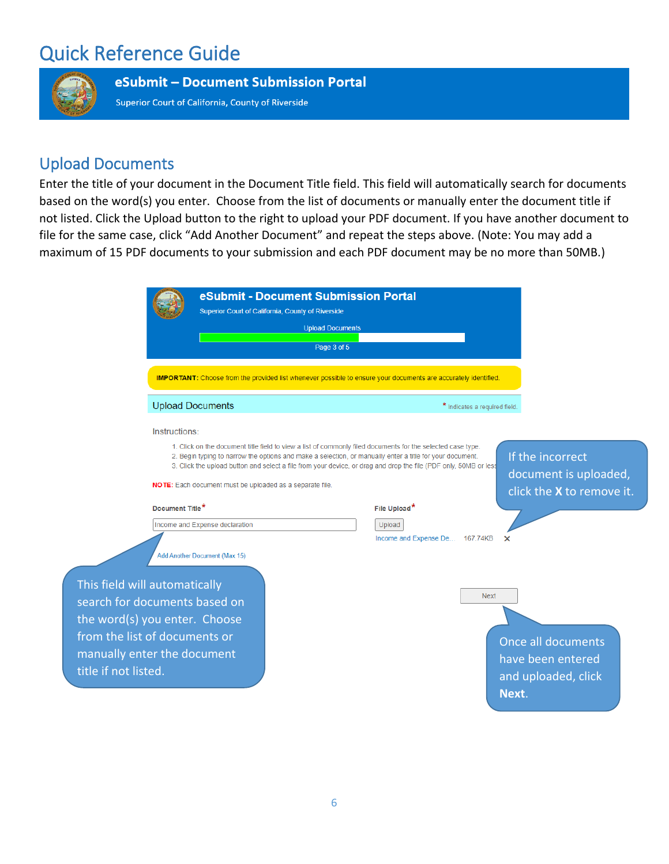

eSubmit - Document Submission Portal

Superior Court of California, County of Riverside

## Upload Documents

Enter the title of your document in the Document Title field. This field will automatically search for documents based on the word(s) you enter. Choose from the list of documents or manually enter the document title if not listed. Click the Upload button to the right to upload your PDF document. If you have another document to file for the same case, click "Add Another Document" and repeat the steps above. (Note: You may add a maximum of 15 PDF documents to your submission and each PDF document may be no more than 50MB.)

|                                                                                                 |                             |                                                          | eSubmit - Document Submission Portal<br>Superior Court of California, County of Riverside |                                                                                                                                                                                                                                                                                                                                                                                                                                                                                                                                                                                                                                                                                                                                   |       |
|-------------------------------------------------------------------------------------------------|-----------------------------|----------------------------------------------------------|-------------------------------------------------------------------------------------------|-----------------------------------------------------------------------------------------------------------------------------------------------------------------------------------------------------------------------------------------------------------------------------------------------------------------------------------------------------------------------------------------------------------------------------------------------------------------------------------------------------------------------------------------------------------------------------------------------------------------------------------------------------------------------------------------------------------------------------------|-------|
|                                                                                                 |                             |                                                          | <b>Upload Documents</b>                                                                   |                                                                                                                                                                                                                                                                                                                                                                                                                                                                                                                                                                                                                                                                                                                                   |       |
|                                                                                                 |                             |                                                          | Page 3 of 5                                                                               |                                                                                                                                                                                                                                                                                                                                                                                                                                                                                                                                                                                                                                                                                                                                   |       |
|                                                                                                 |                             |                                                          |                                                                                           | <b>IMPORTANT:</b> Choose from the provided list whenever possible to ensure your documents are accurately identified.<br>* Indicates a required field.<br>1. Click on the document title field to view a list of commonly filed documents for the selected case type.<br>If the incorrect<br>2. Begin typing to narrow the options and make a selection, or manually enter a title for your document.<br>3. Click the upload button and select a file from your device, or drag and drop the file (PDF only, 50MB or less<br>document is uploaded,<br>click the X to remove it.<br>File Upload*<br>Upload<br>Income and Expense De 167.74KB<br>×<br><b>Next</b><br>Once all documents<br>have been entered<br>and uploaded, click |       |
|                                                                                                 | <b>Upload Documents</b>     |                                                          |                                                                                           |                                                                                                                                                                                                                                                                                                                                                                                                                                                                                                                                                                                                                                                                                                                                   |       |
|                                                                                                 | Instructions:               |                                                          |                                                                                           |                                                                                                                                                                                                                                                                                                                                                                                                                                                                                                                                                                                                                                                                                                                                   |       |
|                                                                                                 |                             |                                                          |                                                                                           |                                                                                                                                                                                                                                                                                                                                                                                                                                                                                                                                                                                                                                                                                                                                   |       |
|                                                                                                 |                             | NOTE: Each document must be uploaded as a separate file. |                                                                                           |                                                                                                                                                                                                                                                                                                                                                                                                                                                                                                                                                                                                                                                                                                                                   |       |
|                                                                                                 | Document Title <sup>*</sup> |                                                          |                                                                                           |                                                                                                                                                                                                                                                                                                                                                                                                                                                                                                                                                                                                                                                                                                                                   |       |
|                                                                                                 |                             | Income and Expense declaration                           |                                                                                           |                                                                                                                                                                                                                                                                                                                                                                                                                                                                                                                                                                                                                                                                                                                                   |       |
|                                                                                                 |                             | Add Another Document (Max 15)                            |                                                                                           |                                                                                                                                                                                                                                                                                                                                                                                                                                                                                                                                                                                                                                                                                                                                   |       |
| This field will automatically<br>search for documents based on<br>the word(s) you enter. Choose |                             |                                                          |                                                                                           |                                                                                                                                                                                                                                                                                                                                                                                                                                                                                                                                                                                                                                                                                                                                   |       |
| from the list of documents or<br>manually enter the document<br>title if not listed.            |                             |                                                          |                                                                                           |                                                                                                                                                                                                                                                                                                                                                                                                                                                                                                                                                                                                                                                                                                                                   |       |
|                                                                                                 |                             |                                                          |                                                                                           |                                                                                                                                                                                                                                                                                                                                                                                                                                                                                                                                                                                                                                                                                                                                   | Next. |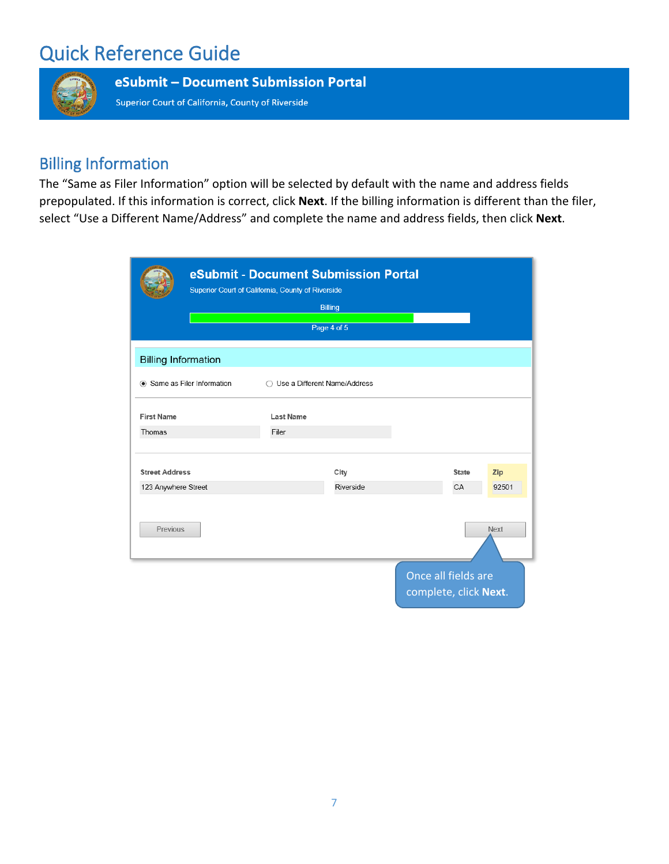

eSubmit - Document Submission Portal

Superior Court of California, County of Riverside

## Billing Information

The "Same as Filer Information" option will be selected by default with the name and address fields prepopulated. If this information is correct, click **Next**. If the billing information is different than the filer, select "Use a Different Name/Address" and complete the name and address fields, then click **Next**.

|                            |                           | eSubmit - Document Submission Portal<br>Superior Court of California, County of Riverside |                |                                              |              |             |
|----------------------------|---------------------------|-------------------------------------------------------------------------------------------|----------------|----------------------------------------------|--------------|-------------|
|                            |                           |                                                                                           | <b>Billing</b> |                                              |              |             |
|                            |                           |                                                                                           | Page 4 of 5    |                                              |              |             |
| <b>Billing Information</b> |                           |                                                                                           |                |                                              |              |             |
|                            | Same as Filer Information | Use a Different Name/Address<br>∩                                                         |                |                                              |              |             |
| <b>First Name</b>          |                           | <b>Last Name</b>                                                                          |                |                                              |              |             |
| Thomas                     |                           | Filer                                                                                     |                |                                              |              |             |
| <b>Street Address</b>      |                           |                                                                                           | City           |                                              | <b>State</b> | Zip         |
| 123 Anywhere Street        |                           |                                                                                           | Riverside      |                                              | CA           | 92501       |
| Previous                   |                           |                                                                                           |                |                                              |              | <b>Next</b> |
|                            |                           |                                                                                           |                | Once all fields are<br>complete, click Next. |              |             |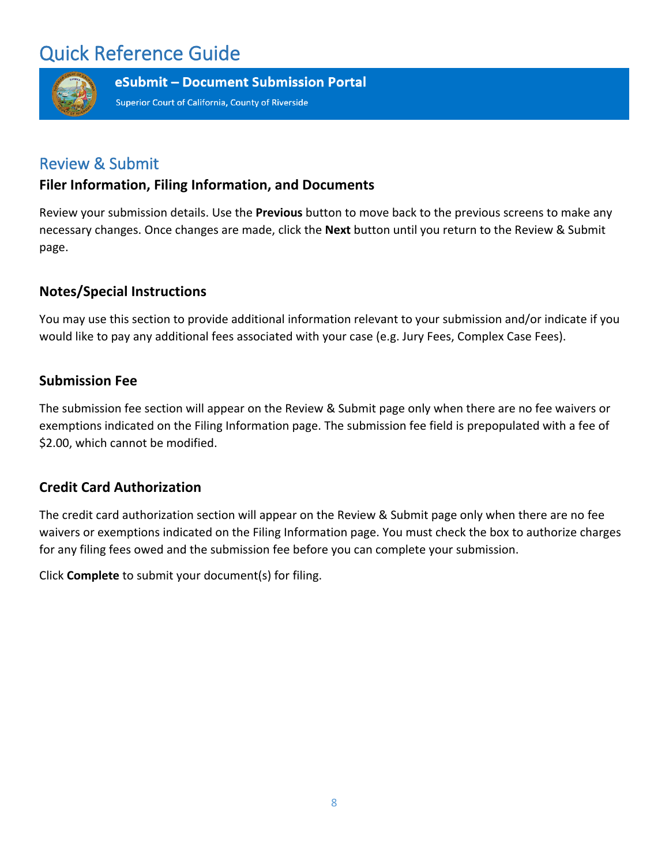

eSubmit - Document Submission Portal

Superior Court of California, County of Riverside

### Review & Submit

### **Filer Information, Filing Information, and Documents**

Review your submission details. Use the **Previous** button to move back to the previous screens to make any necessary changes. Once changes are made, click the **Next** button until you return to the Review & Submit page.

### **Notes/Special Instructions**

You may use this section to provide additional information relevant to your submission and/or indicate if you would like to pay any additional fees associated with your case (e.g. Jury Fees, Complex Case Fees).

### **Submission Fee**

The submission fee section will appear on the Review & Submit page only when there are no fee waivers or exemptions indicated on the Filing Information page. The submission fee field is prepopulated with a fee of \$2.00, which cannot be modified.

### **Credit Card Authorization**

The credit card authorization section will appear on the Review & Submit page only when there are no fee waivers or exemptions indicated on the Filing Information page. You must check the box to authorize charges for any filing fees owed and the submission fee before you can complete your submission.

Click **Complete** to submit your document(s) for filing.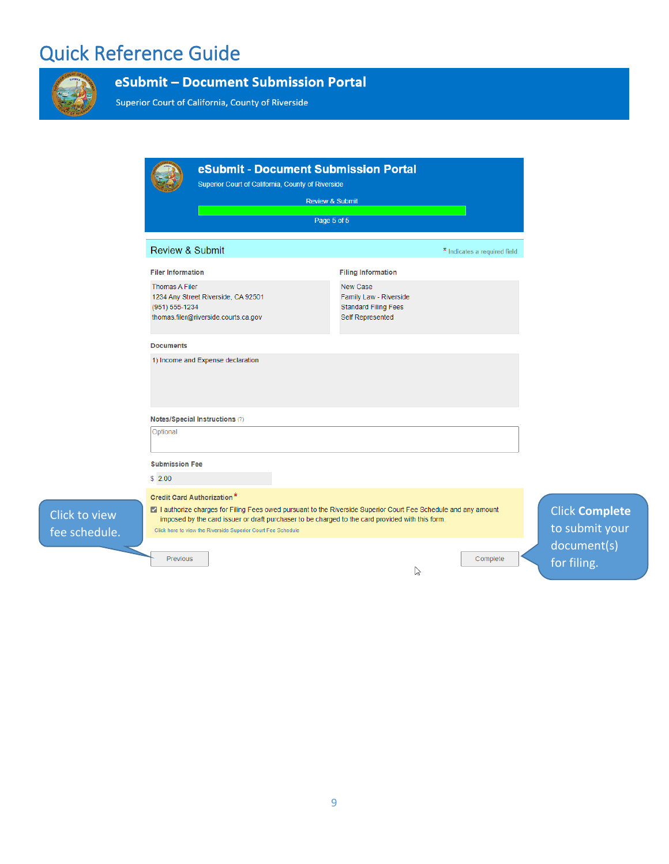

### eSubmit - Document Submission Portal

Superior Court of California, County of Riverside

|                                         |                                                                             | <b>Review &amp; Submit</b><br>Page 5 of 5                                                                                                                                                                           |                               |                                         |
|-----------------------------------------|-----------------------------------------------------------------------------|---------------------------------------------------------------------------------------------------------------------------------------------------------------------------------------------------------------------|-------------------------------|-----------------------------------------|
| <b>Review &amp; Submit</b>              |                                                                             |                                                                                                                                                                                                                     | * Indicates a required field. |                                         |
| <b>Filer Information</b>                |                                                                             | <b>Filing Information</b>                                                                                                                                                                                           |                               |                                         |
| <b>Thomas A Filer</b><br>(951) 555-1234 | 1234 Any Street Riverside, CA 92501<br>thomas.filer@riverside.courts.ca.gov | New Case<br>Family Law - Riverside<br><b>Standard Filing Fees</b><br>Self Represented                                                                                                                               |                               |                                         |
| <b>Documents</b>                        |                                                                             |                                                                                                                                                                                                                     |                               |                                         |
|                                         | 1) Income and Expense declaration                                           |                                                                                                                                                                                                                     |                               |                                         |
| Notes/Special Instructions (?)          |                                                                             |                                                                                                                                                                                                                     |                               |                                         |
| Optional                                |                                                                             |                                                                                                                                                                                                                     |                               |                                         |
| <b>Submission Fee</b>                   |                                                                             |                                                                                                                                                                                                                     |                               |                                         |
| \$2.00                                  |                                                                             |                                                                                                                                                                                                                     |                               |                                         |
| <b>Credit Card Authorization*</b>       | Click here to view the Riverside Superior Court Fee Schedule                | 7 I authorize charges for Filing Fees owed pursuant to the Riverside Superior Court Fee Schedule and any amount<br>imposed by the card issuer or draft purchaser to be charged to the card provided with this form. |                               | <b>Click Complete</b><br>to submit your |
| <b>Previous</b>                         |                                                                             | じ                                                                                                                                                                                                                   | Complete                      | document(s)<br>for filing.              |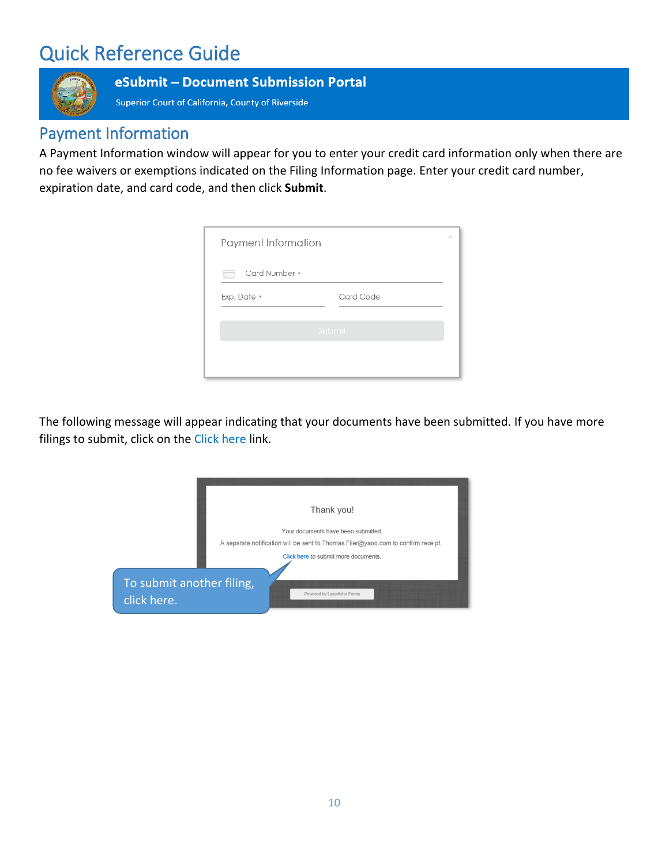

#### eSubmit - Document Submission Portal

Superior Court of California, County of Riverside

### Payment Information

A Payment Information window will appear for you to enter your credit card information only when there are no fee waivers or exemptions indicated on the Filing Information page. Enter your credit card number, expiration date, and card code, and then click **Submit**.

| Payment Information |           | $\times$ |
|---------------------|-----------|----------|
| Card Number *<br>65 |           |          |
| Exp. Date *         | Card Code |          |
|                     | Submit    |          |
|                     |           |          |

The following message will appear indicating that your documents have been submitted. If you have more filings to submit, click on the Click here link.

|                                          | Thank you!                                                                                                                |
|------------------------------------------|---------------------------------------------------------------------------------------------------------------------------|
|                                          | Your documents have been submitted.<br>A separate notification will be sent to Thomas. Filer@yaoo.com to confirm receipt. |
|                                          | Click here to submit more documents.                                                                                      |
| To submit another filing,<br>click here. | Powered by Laserfiche Forms                                                                                               |